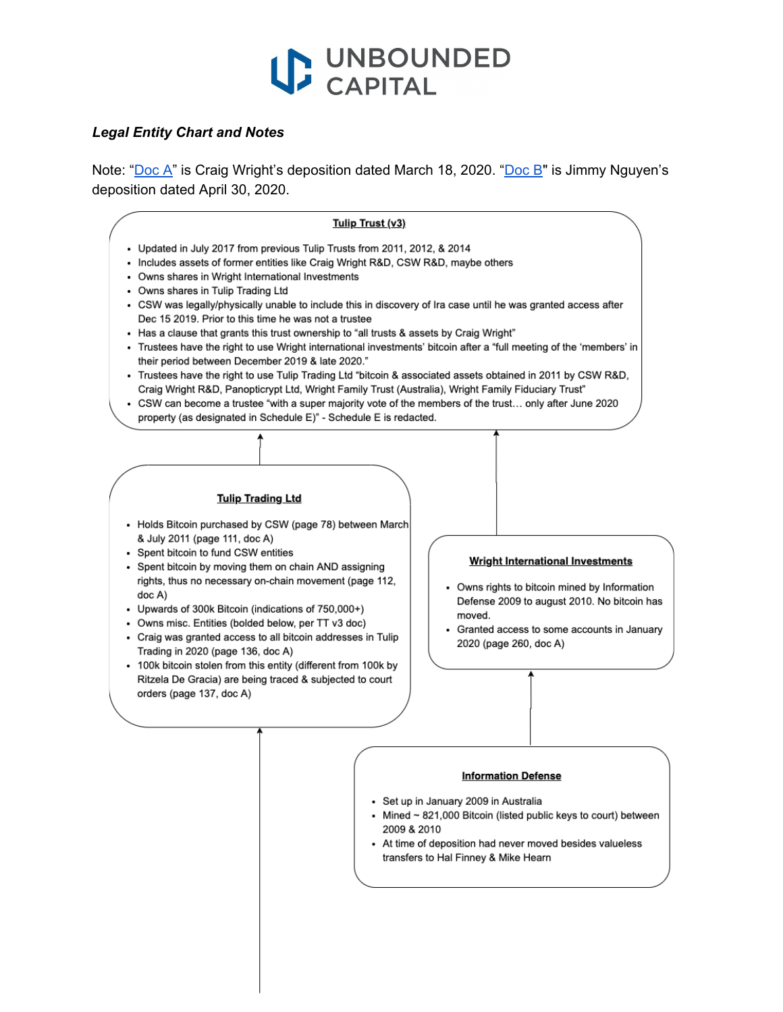

## *Legal Entity Chart and Notes*

Note: "[Doc](https://www.courtlistener.com/docket/6309656/511/1/kleiman-v-wright/) A" is Craig Wright's deposition dated March 18, 2020. ["Doc](https://www.courtlistener.com/docket/6309656/550/36/kleiman-v-wright/) B" is Jimmy Nguyen's deposition dated April 30, 2020.



## **Information Defense**

- · Set up in January 2009 in Australia
- Mined ~ 821,000 Bitcoin (listed public keys to court) between 2009 & 2010
- At time of deposition had never moved besides valueless transfers to Hal Finney & Mike Hearn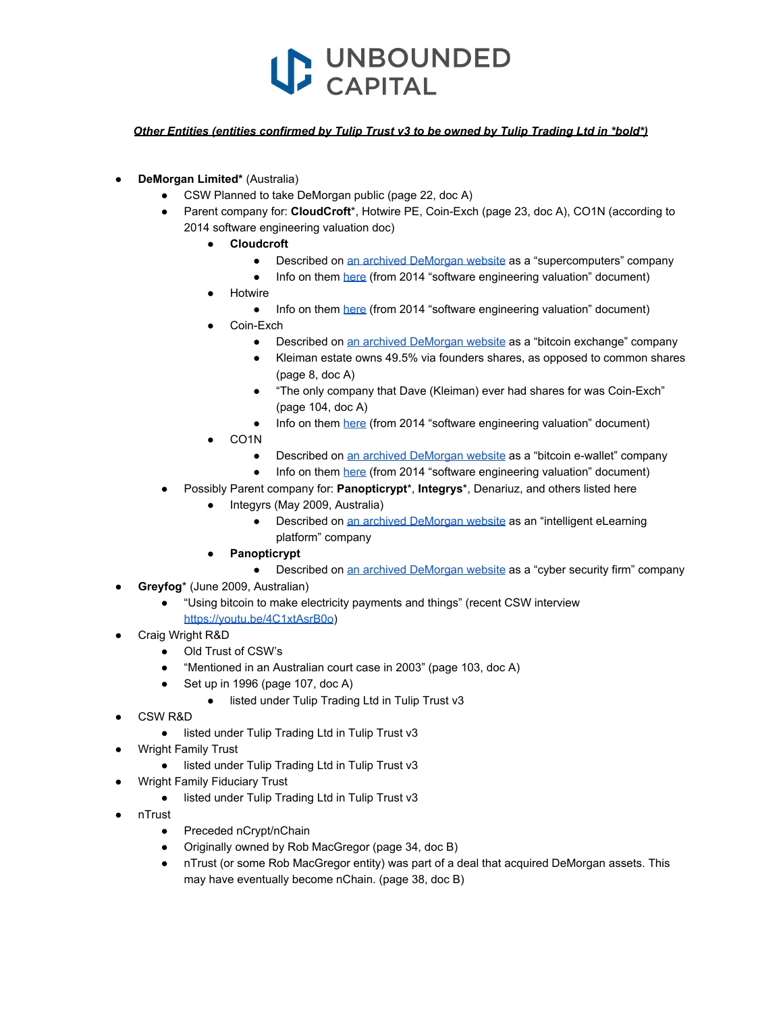

## *Other Entities (entities confirmed by Tulip Trust v3 to be owned by Tulip Trading Ltd in \*bold\*)*

- **DeMorgan Limited\*** (Australia)
	- CSW Planned to take DeMorgan public (page 22, doc A)
	- Parent company for: **CloudCroft**\*, Hotwire PE, Coin-Exch (page 23, doc A), CO1N (according to 2014 software engineering valuation doc)
		- **● Cloudcroft**
			- Described on [an archived DeMorgan website](http://archive.is/9ZESh) as a "supercomputers" company
			- Info on them [here](https://www.courtlistener.com/docket/6309656/550/41/kleiman-v-wright/) (from 2014 "software engineering valuation" document)
		- **Hotwire** 
			- Info on them [here](https://www.courtlistener.com/docket/6309656/550/41/kleiman-v-wright/) (from 2014 "software engineering valuation" document)
		- Coin-Exch
			- Described on [an archived DeMorgan website](http://archive.is/9ZESh) as a "bitcoin exchange" company
			- Kleiman estate owns 49.5% via founders shares, as opposed to common shares (page 8, doc A)
			- "The only company that Dave (Kleiman) ever had shares for was Coin-Exch" (page 104, doc A)
			- Info on them [here](https://www.courtlistener.com/docket/6309656/550/41/kleiman-v-wright/) (from 2014 "software engineering valuation" document)
		- CO<sub>1</sub>N
			- Described on [an archived DeMorgan website](http://archive.is/9ZESh) as a "bitcoin e-wallet" company
			- Info on them [here](https://www.courtlistener.com/docket/6309656/550/41/kleiman-v-wright/) (from 2014 "software engineering valuation" document)
	- Possibly Parent company for: **Panopticrypt**<sup>\*</sup>, **Integrys**<sup>\*</sup>, Denariuz, and others listed here
		- Integyrs (May 2009, Australia)
			- Described on [an archived DeMorgan website](http://archive.is/9ZESh) as an "intelligent eLearning platform" company
		- **● Panopticrypt**
			- Described on [an archived DeMorgan website](http://archive.is/9ZESh) as a "cyber security firm" company
- Greyfog<sup>\*</sup> (June 2009, Australian)
	- "Using bitcoin to make electricity payments and things" (recent CSW interview <https://youtu.be/4C1xtAsrB0o>)
- Craig Wright R&D
	- Old Trust of CSW's
	- "Mentioned in an Australian court case in 2003" (page 103, doc A)
	- Set up in 1996 (page 107, doc A)
		- listed under Tulip Trading Ltd in Tulip Trust v3
- CSW R&D
	- listed under Tulip Trading Ltd in Tulip Trust v3
- **Wright Family Trust** 
	- listed under Tulip Trading Ltd in Tulip Trust v3
- **Wright Family Fiduciary Trust** 
	- listed under Tulip Trading Ltd in Tulip Trust v3
- nTrust
	- Preceded nCrypt/nChain
	- Originally owned by Rob MacGregor (page 34, doc B)
	- nTrust (or some Rob MacGregor entity) was part of a deal that acquired DeMorgan assets. This may have eventually become nChain. (page 38, doc B)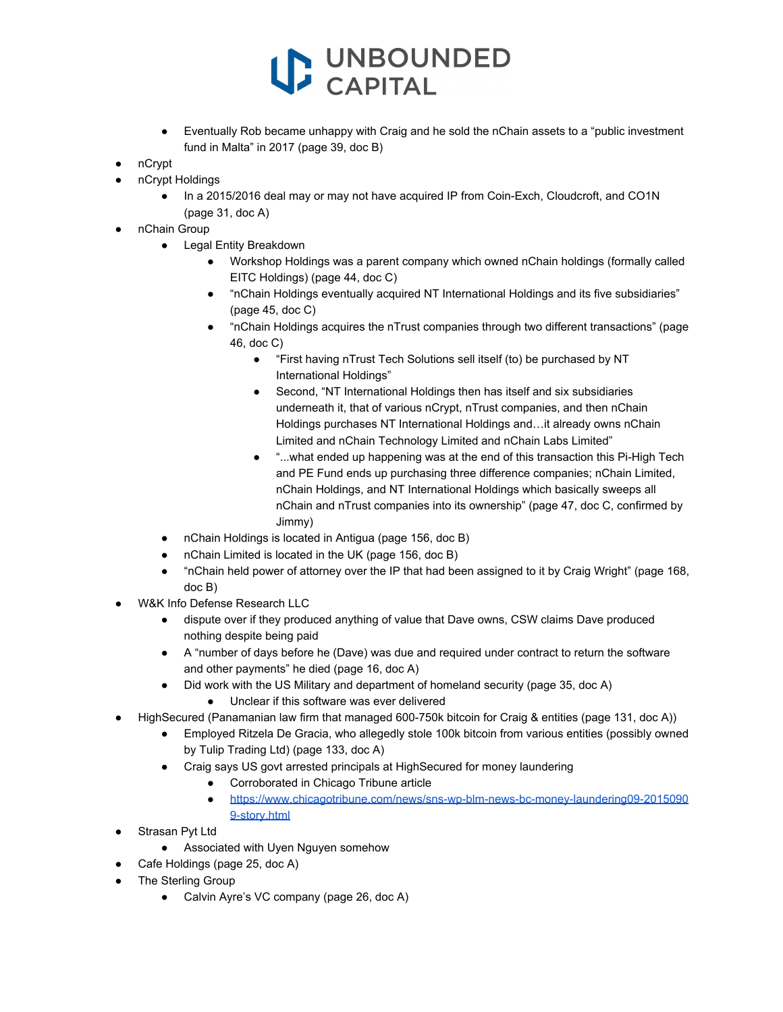## VUNBOUNDED

- Eventually Rob became unhappy with Craig and he sold the nChain assets to a "public investment" fund in Malta" in 2017 (page 39, doc B)
- nCrypt
- nCrypt Holdings
	- In a 2015/2016 deal may or may not have acquired IP from Coin-Exch, Cloudcroft, and CO1N (page 31, doc A)
- nChain Group
	- Legal Entity Breakdown
		- Workshop Holdings was a parent company which owned nChain holdings (formally called EITC Holdings) (page 44, doc C)
		- "nChain Holdings eventually acquired NT International Holdings and its five subsidiaries" (page 45, doc C)
		- "nChain Holdings acquires the nTrust companies through two different transactions" (page 46, doc C)
			- "First having nTrust Tech Solutions sell itself (to) be purchased by NT International Holdings"
			- Second, "NT International Holdings then has itself and six subsidiaries underneath it, that of various nCrypt, nTrust companies, and then nChain Holdings purchases NT International Holdings and…it already owns nChain Limited and nChain Technology Limited and nChain Labs Limited"
			- "...what ended up happening was at the end of this transaction this Pi-High Tech and PE Fund ends up purchasing three difference companies; nChain Limited, nChain Holdings, and NT International Holdings which basically sweeps all nChain and nTrust companies into its ownership" (page 47, doc C, confirmed by Jimmy)
	- nChain Holdings is located in Antigua (page 156, doc B)
	- nChain Limited is located in the UK (page 156, doc B)
	- "nChain held power of attorney over the IP that had been assigned to it by Craig Wright" (page 168, doc B)
- W&K Info Defense Research LLC
	- dispute over if they produced anything of value that Dave owns, CSW claims Dave produced nothing despite being paid
	- A "number of days before he (Dave) was due and required under contract to return the software and other payments" he died (page 16, doc A)
	- Did work with the US Military and department of homeland security (page 35, doc A)
		- Unclear if this software was ever delivered
- HighSecured (Panamanian law firm that managed 600-750k bitcoin for Craig & entities (page 131, doc A))
	- Employed Ritzela De Gracia, who allegedly stole 100k bitcoin from various entities (possibly owned by Tulip Trading Ltd) (page 133, doc A)
	- Craig says US govt arrested principals at HighSecured for money laundering
		- Corroborated in Chicago Tribune article
		- [https://www.chicagotribune.com/news/sns-wp-blm-news-bc-money-laundering09-2015090](https://www.chicagotribune.com/news/sns-wp-blm-news-bc-money-laundering09-20150909-story.html) [9-story.html](https://www.chicagotribune.com/news/sns-wp-blm-news-bc-money-laundering09-20150909-story.html)
- Strasan Pvt Ltd
	- Associated with Uyen Nguyen somehow
	- Cafe Holdings (page 25, doc A)
- **The Sterling Group** 
	- Calvin Ayre's VC company (page 26, doc A)